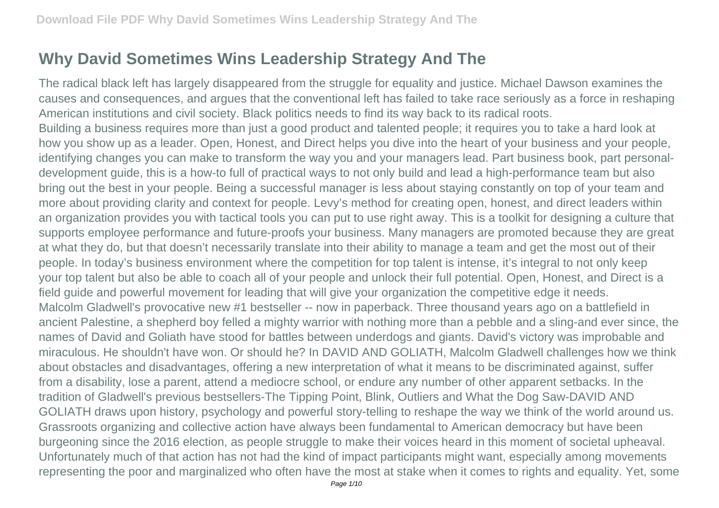## **Why David Sometimes Wins Leadership Strategy And The**

The radical black left has largely disappeared from the struggle for equality and justice. Michael Dawson examines the causes and consequences, and argues that the conventional left has failed to take race seriously as a force in reshaping American institutions and civil society. Black politics needs to find its way back to its radical roots. Building a business requires more than just a good product and talented people; it requires you to take a hard look at how you show up as a leader. Open, Honest, and Direct helps you dive into the heart of your business and your people, identifying changes you can make to transform the way you and your managers lead. Part business book, part personaldevelopment guide, this is a how-to full of practical ways to not only build and lead a high-performance team but also bring out the best in your people. Being a successful manager is less about staying constantly on top of your team and more about providing clarity and context for people. Levy's method for creating open, honest, and direct leaders within an organization provides you with tactical tools you can put to use right away. This is a toolkit for designing a culture that supports employee performance and future-proofs your business. Many managers are promoted because they are great at what they do, but that doesn't necessarily translate into their ability to manage a team and get the most out of their people. In today's business environment where the competition for top talent is intense, it's integral to not only keep your top talent but also be able to coach all of your people and unlock their full potential. Open, Honest, and Direct is a field guide and powerful movement for leading that will give your organization the competitive edge it needs. Malcolm Gladwell's provocative new #1 bestseller -- now in paperback. Three thousand years ago on a battlefield in ancient Palestine, a shepherd boy felled a mighty warrior with nothing more than a pebble and a sling-and ever since, the names of David and Goliath have stood for battles between underdogs and giants. David's victory was improbable and miraculous. He shouldn't have won. Or should he? In DAVID AND GOLIATH, Malcolm Gladwell challenges how we think about obstacles and disadvantages, offering a new interpretation of what it means to be discriminated against, suffer from a disability, lose a parent, attend a mediocre school, or endure any number of other apparent setbacks. In the tradition of Gladwell's previous bestsellers-The Tipping Point, Blink, Outliers and What the Dog Saw-DAVID AND GOLIATH draws upon history, psychology and powerful story-telling to reshape the way we think of the world around us. Grassroots organizing and collective action have always been fundamental to American democracy but have been burgeoning since the 2016 election, as people struggle to make their voices heard in this moment of societal upheaval. Unfortunately much of that action has not had the kind of impact participants might want, especially among movements representing the poor and marginalized who often have the most at stake when it comes to rights and equality. Yet, some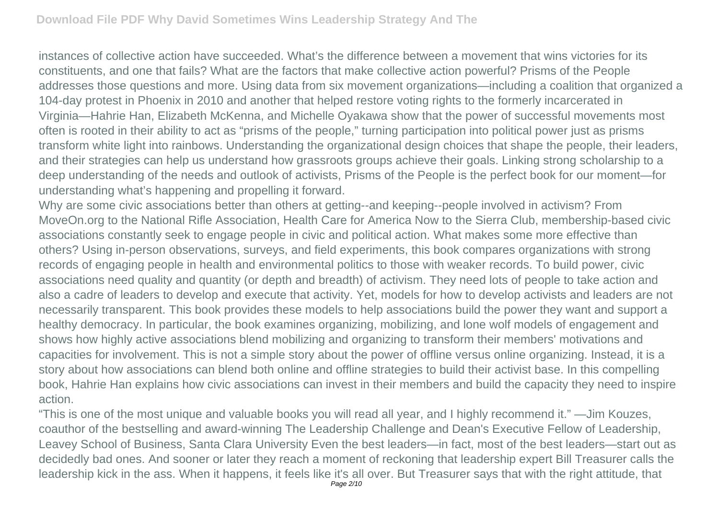instances of collective action have succeeded. What's the difference between a movement that wins victories for its constituents, and one that fails? What are the factors that make collective action powerful? Prisms of the People addresses those questions and more. Using data from six movement organizations—including a coalition that organized a 104-day protest in Phoenix in 2010 and another that helped restore voting rights to the formerly incarcerated in Virginia—Hahrie Han, Elizabeth McKenna, and Michelle Oyakawa show that the power of successful movements most often is rooted in their ability to act as "prisms of the people," turning participation into political power just as prisms transform white light into rainbows. Understanding the organizational design choices that shape the people, their leaders, and their strategies can help us understand how grassroots groups achieve their goals. Linking strong scholarship to a deep understanding of the needs and outlook of activists, Prisms of the People is the perfect book for our moment—for understanding what's happening and propelling it forward.

Why are some civic associations better than others at getting--and keeping--people involved in activism? From MoveOn.org to the National Rifle Association, Health Care for America Now to the Sierra Club, membership-based civic associations constantly seek to engage people in civic and political action. What makes some more effective than others? Using in-person observations, surveys, and field experiments, this book compares organizations with strong records of engaging people in health and environmental politics to those with weaker records. To build power, civic associations need quality and quantity (or depth and breadth) of activism. They need lots of people to take action and also a cadre of leaders to develop and execute that activity. Yet, models for how to develop activists and leaders are not necessarily transparent. This book provides these models to help associations build the power they want and support a healthy democracy. In particular, the book examines organizing, mobilizing, and lone wolf models of engagement and shows how highly active associations blend mobilizing and organizing to transform their members' motivations and capacities for involvement. This is not a simple story about the power of offline versus online organizing. Instead, it is a story about how associations can blend both online and offline strategies to build their activist base. In this compelling book, Hahrie Han explains how civic associations can invest in their members and build the capacity they need to inspire action.

"This is one of the most unique and valuable books you will read all year, and I highly recommend it." —Jim Kouzes, coauthor of the bestselling and award-winning The Leadership Challenge and Dean's Executive Fellow of Leadership, Leavey School of Business, Santa Clara University Even the best leaders—in fact, most of the best leaders—start out as decidedly bad ones. And sooner or later they reach a moment of reckoning that leadership expert Bill Treasurer calls the leadership kick in the ass. When it happens, it feels like it's all over. But Treasurer says that with the right attitude, that Page 2/10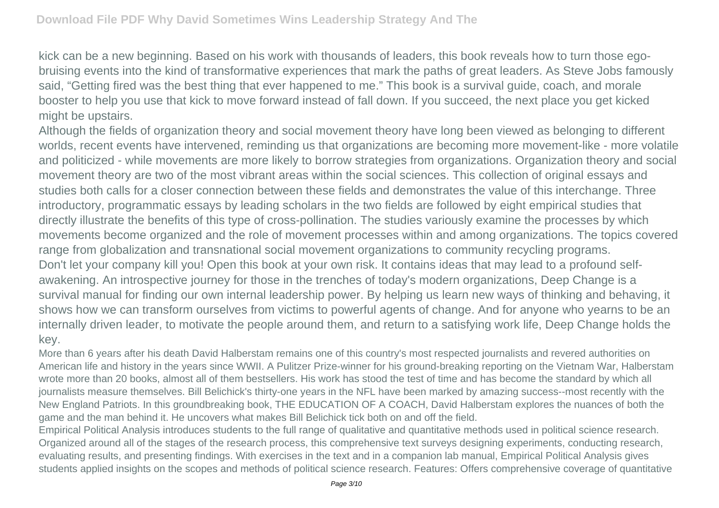kick can be a new beginning. Based on his work with thousands of leaders, this book reveals how to turn those egobruising events into the kind of transformative experiences that mark the paths of great leaders. As Steve Jobs famously said, "Getting fired was the best thing that ever happened to me." This book is a survival guide, coach, and morale booster to help you use that kick to move forward instead of fall down. If you succeed, the next place you get kicked might be upstairs.

Although the fields of organization theory and social movement theory have long been viewed as belonging to different worlds, recent events have intervened, reminding us that organizations are becoming more movement-like - more volatile and politicized - while movements are more likely to borrow strategies from organizations. Organization theory and social movement theory are two of the most vibrant areas within the social sciences. This collection of original essays and studies both calls for a closer connection between these fields and demonstrates the value of this interchange. Three introductory, programmatic essays by leading scholars in the two fields are followed by eight empirical studies that directly illustrate the benefits of this type of cross-pollination. The studies variously examine the processes by which movements become organized and the role of movement processes within and among organizations. The topics covered range from globalization and transnational social movement organizations to community recycling programs. Don't let your company kill you! Open this book at your own risk. It contains ideas that may lead to a profound selfawakening. An introspective journey for those in the trenches of today's modern organizations, Deep Change is a survival manual for finding our own internal leadership power. By helping us learn new ways of thinking and behaving, it shows how we can transform ourselves from victims to powerful agents of change. And for anyone who yearns to be an internally driven leader, to motivate the people around them, and return to a satisfying work life, Deep Change holds the key.

More than 6 years after his death David Halberstam remains one of this country's most respected journalists and revered authorities on American life and history in the years since WWII. A Pulitzer Prize-winner for his ground-breaking reporting on the Vietnam War, Halberstam wrote more than 20 books, almost all of them bestsellers. His work has stood the test of time and has become the standard by which all journalists measure themselves. Bill Belichick's thirty-one years in the NFL have been marked by amazing success--most recently with the New England Patriots. In this groundbreaking book, THE EDUCATION OF A COACH, David Halberstam explores the nuances of both the game and the man behind it. He uncovers what makes Bill Belichick tick both on and off the field.

Empirical Political Analysis introduces students to the full range of qualitative and quantitative methods used in political science research. Organized around all of the stages of the research process, this comprehensive text surveys designing experiments, conducting research, evaluating results, and presenting findings. With exercises in the text and in a companion lab manual, Empirical Political Analysis gives students applied insights on the scopes and methods of political science research. Features: Offers comprehensive coverage of quantitative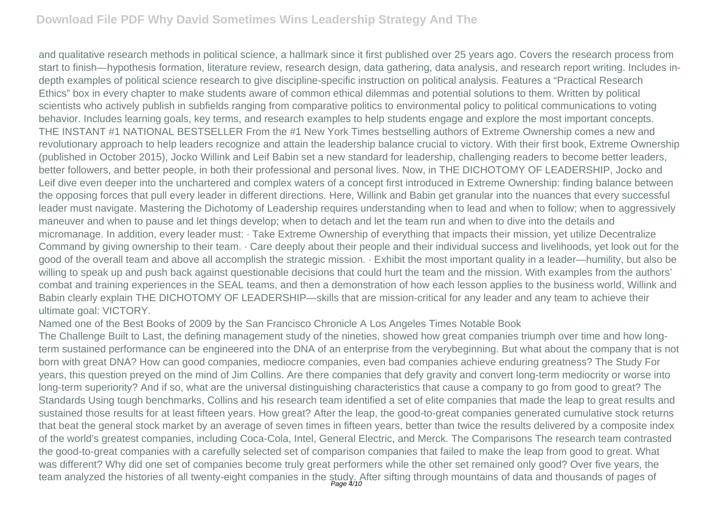## **Download File PDF Why David Sometimes Wins Leadership Strategy And The**

and qualitative research methods in political science, a hallmark since it first published over 25 years ago. Covers the research process from start to finish—hypothesis formation, literature review, research design, data gathering, data analysis, and research report writing. Includes indepth examples of political science research to give discipline-specific instruction on political analysis. Features a "Practical Research Ethics" box in every chapter to make students aware of common ethical dilemmas and potential solutions to them. Written by political scientists who actively publish in subfields ranging from comparative politics to environmental policy to political communications to voting behavior. Includes learning goals, key terms, and research examples to help students engage and explore the most important concepts. THE INSTANT #1 NATIONAL BESTSELLER From the #1 New York Times bestselling authors of Extreme Ownership comes a new and revolutionary approach to help leaders recognize and attain the leadership balance crucial to victory. With their first book, Extreme Ownership (published in October 2015), Jocko Willink and Leif Babin set a new standard for leadership, challenging readers to become better leaders, better followers, and better people, in both their professional and personal lives. Now, in THE DICHOTOMY OF LEADERSHIP, Jocko and Leif dive even deeper into the unchartered and complex waters of a concept first introduced in Extreme Ownership: finding balance between the opposing forces that pull every leader in different directions. Here, Willink and Babin get granular into the nuances that every successful leader must navigate. Mastering the Dichotomy of Leadership requires understanding when to lead and when to follow; when to aggressively maneuver and when to pause and let things develop; when to detach and let the team run and when to dive into the details and micromanage. In addition, every leader must: · Take Extreme Ownership of everything that impacts their mission, yet utilize Decentralize Command by giving ownership to their team. · Care deeply about their people and their individual success and livelihoods, yet look out for the good of the overall team and above all accomplish the strategic mission. · Exhibit the most important quality in a leader—humility, but also be willing to speak up and push back against questionable decisions that could hurt the team and the mission. With examples from the authors' combat and training experiences in the SEAL teams, and then a demonstration of how each lesson applies to the business world, Willink and Babin clearly explain THE DICHOTOMY OF LEADERSHIP—skills that are mission-critical for any leader and any team to achieve their ultimate goal: VICTORY.

Named one of the Best Books of 2009 by the San Francisco Chronicle A Los Angeles Times Notable Book

The Challenge Built to Last, the defining management study of the nineties, showed how great companies triumph over time and how longterm sustained performance can be engineered into the DNA of an enterprise from the verybeginning. But what about the company that is not born with great DNA? How can good companies, mediocre companies, even bad companies achieve enduring greatness? The Study For years, this question preyed on the mind of Jim Collins. Are there companies that defy gravity and convert long-term mediocrity or worse into long-term superiority? And if so, what are the universal distinguishing characteristics that cause a company to go from good to great? The Standards Using tough benchmarks, Collins and his research team identified a set of elite companies that made the leap to great results and sustained those results for at least fifteen years. How great? After the leap, the good-to-great companies generated cumulative stock returns that beat the general stock market by an average of seven times in fifteen years, better than twice the results delivered by a composite index of the world's greatest companies, including Coca-Cola, Intel, General Electric, and Merck. The Comparisons The research team contrasted the good-to-great companies with a carefully selected set of comparison companies that failed to make the leap from good to great. What was different? Why did one set of companies become truly great performers while the other set remained only good? Over five years, the team analyzed the histories of all twenty-eight companies in the study. After sifting through mountains of data and thousands of pages of<br>Page 4/10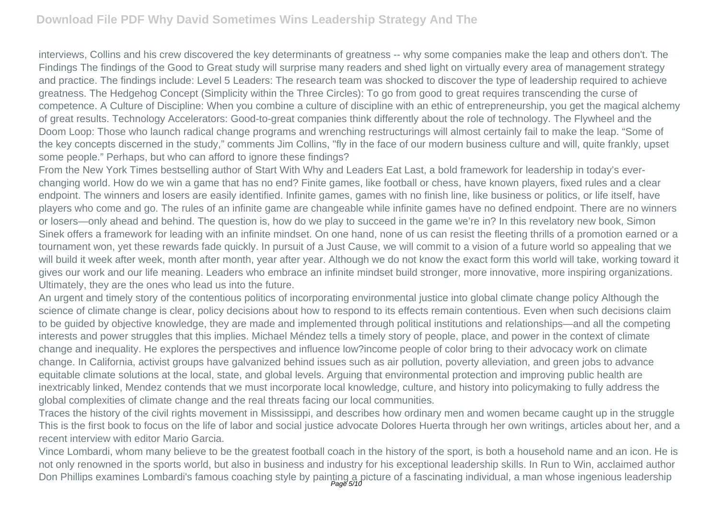interviews, Collins and his crew discovered the key determinants of greatness -- why some companies make the leap and others don't. The Findings The findings of the Good to Great study will surprise many readers and shed light on virtually every area of management strategy and practice. The findings include: Level 5 Leaders: The research team was shocked to discover the type of leadership required to achieve greatness. The Hedgehog Concept (Simplicity within the Three Circles): To go from good to great requires transcending the curse of competence. A Culture of Discipline: When you combine a culture of discipline with an ethic of entrepreneurship, you get the magical alchemy of great results. Technology Accelerators: Good-to-great companies think differently about the role of technology. The Flywheel and the Doom Loop: Those who launch radical change programs and wrenching restructurings will almost certainly fail to make the leap. "Some of the key concepts discerned in the study," comments Jim Collins, "fly in the face of our modern business culture and will, quite frankly, upset some people." Perhaps, but who can afford to ignore these findings?

From the New York Times bestselling author of Start With Why and Leaders Eat Last, a bold framework for leadership in today's everchanging world. How do we win a game that has no end? Finite games, like football or chess, have known players, fixed rules and a clear endpoint. The winners and losers are easily identified. Infinite games, games with no finish line, like business or politics, or life itself, have players who come and go. The rules of an infinite game are changeable while infinite games have no defined endpoint. There are no winners or losers—only ahead and behind. The question is, how do we play to succeed in the game we're in? In this revelatory new book, Simon Sinek offers a framework for leading with an infinite mindset. On one hand, none of us can resist the fleeting thrills of a promotion earned or a tournament won, yet these rewards fade quickly. In pursuit of a Just Cause, we will commit to a vision of a future world so appealing that we will build it week after week, month after month, year after year. Although we do not know the exact form this world will take, working toward it gives our work and our life meaning. Leaders who embrace an infinite mindset build stronger, more innovative, more inspiring organizations. Ultimately, they are the ones who lead us into the future.

An urgent and timely story of the contentious politics of incorporating environmental justice into global climate change policy Although the science of climate change is clear, policy decisions about how to respond to its effects remain contentious. Even when such decisions claim to be guided by objective knowledge, they are made and implemented through political institutions and relationships—and all the competing interests and power struggles that this implies. Michael Méndez tells a timely story of people, place, and power in the context of climate change and inequality. He explores the perspectives and influence low?income people of color bring to their advocacy work on climate change. In California, activist groups have galvanized behind issues such as air pollution, poverty alleviation, and green jobs to advance equitable climate solutions at the local, state, and global levels. Arguing that environmental protection and improving public health are inextricably linked, Mendez contends that we must incorporate local knowledge, culture, and history into policymaking to fully address the global complexities of climate change and the real threats facing our local communities.

Traces the history of the civil rights movement in Mississippi, and describes how ordinary men and women became caught up in the struggle This is the first book to focus on the life of labor and social justice advocate Dolores Huerta through her own writings, articles about her, and a recent interview with editor Mario Garcia.

Vince Lombardi, whom many believe to be the greatest football coach in the history of the sport, is both a household name and an icon. He is not only renowned in the sports world, but also in business and industry for his exceptional leadership skills. In Run to Win, acclaimed author Don Phillips examines Lombardi's famous coaching style by painting a picture of a fascinating individual, a man whose ingenious leadership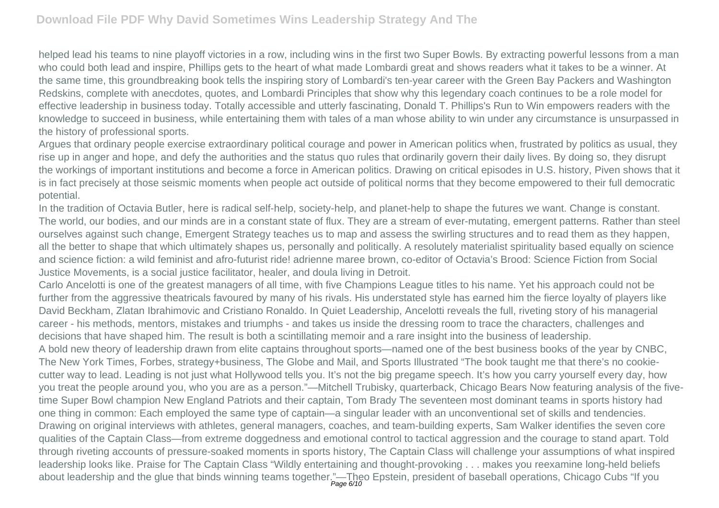helped lead his teams to nine playoff victories in a row, including wins in the first two Super Bowls. By extracting powerful lessons from a man who could both lead and inspire, Phillips gets to the heart of what made Lombardi great and shows readers what it takes to be a winner. At the same time, this groundbreaking book tells the inspiring story of Lombardi's ten-year career with the Green Bay Packers and Washington Redskins, complete with anecdotes, quotes, and Lombardi Principles that show why this legendary coach continues to be a role model for effective leadership in business today. Totally accessible and utterly fascinating, Donald T. Phillips's Run to Win empowers readers with the knowledge to succeed in business, while entertaining them with tales of a man whose ability to win under any circumstance is unsurpassed in the history of professional sports.

Argues that ordinary people exercise extraordinary political courage and power in American politics when, frustrated by politics as usual, they rise up in anger and hope, and defy the authorities and the status quo rules that ordinarily govern their daily lives. By doing so, they disrupt the workings of important institutions and become a force in American politics. Drawing on critical episodes in U.S. history, Piven shows that it is in fact precisely at those seismic moments when people act outside of political norms that they become empowered to their full democratic potential.

In the tradition of Octavia Butler, here is radical self-help, society-help, and planet-help to shape the futures we want. Change is constant. The world, our bodies, and our minds are in a constant state of flux. They are a stream of ever-mutating, emergent patterns. Rather than steel ourselves against such change, Emergent Strategy teaches us to map and assess the swirling structures and to read them as they happen, all the better to shape that which ultimately shapes us, personally and politically. A resolutely materialist spirituality based equally on science and science fiction: a wild feminist and afro-futurist ride! adrienne maree brown, co-editor of Octavia's Brood: Science Fiction from Social Justice Movements, is a social justice facilitator, healer, and doula living in Detroit.

Carlo Ancelotti is one of the greatest managers of all time, with five Champions League titles to his name. Yet his approach could not be further from the aggressive theatricals favoured by many of his rivals. His understated style has earned him the fierce loyalty of players like David Beckham, Zlatan Ibrahimovic and Cristiano Ronaldo. In Quiet Leadership, Ancelotti reveals the full, riveting story of his managerial career - his methods, mentors, mistakes and triumphs - and takes us inside the dressing room to trace the characters, challenges and decisions that have shaped him. The result is both a scintillating memoir and a rare insight into the business of leadership.

A bold new theory of leadership drawn from elite captains throughout sports—named one of the best business books of the year by CNBC, The New York Times, Forbes, strategy+business, The Globe and Mail, and Sports Illustrated "The book taught me that there's no cookiecutter way to lead. Leading is not just what Hollywood tells you. It's not the big pregame speech. It's how you carry yourself every day, how you treat the people around you, who you are as a person."—Mitchell Trubisky, quarterback, Chicago Bears Now featuring analysis of the fivetime Super Bowl champion New England Patriots and their captain, Tom Brady The seventeen most dominant teams in sports history had one thing in common: Each employed the same type of captain—a singular leader with an unconventional set of skills and tendencies. Drawing on original interviews with athletes, general managers, coaches, and team-building experts, Sam Walker identifies the seven core qualities of the Captain Class—from extreme doggedness and emotional control to tactical aggression and the courage to stand apart. Told through riveting accounts of pressure-soaked moments in sports history, The Captain Class will challenge your assumptions of what inspired leadership looks like. Praise for The Captain Class "Wildly entertaining and thought-provoking . . . makes you reexamine long-held beliefs about leadership and the glue that binds winning teams together."—Theo Epstein, president of baseball operations, Chicago Cubs "If you<br>Page 6/10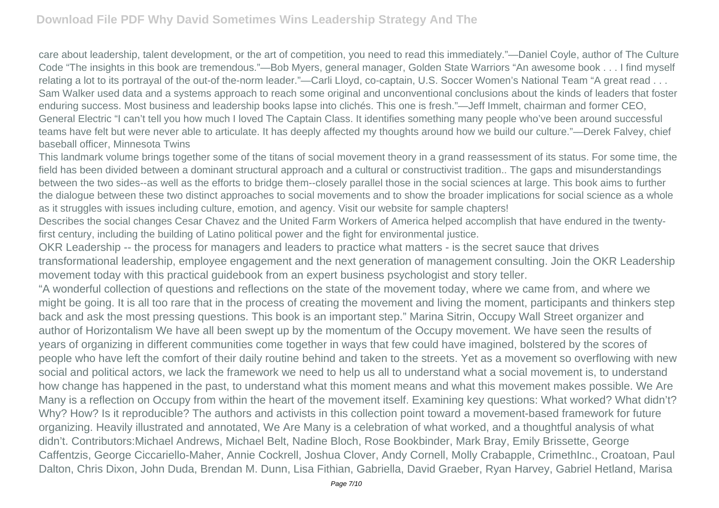care about leadership, talent development, or the art of competition, you need to read this immediately."—Daniel Coyle, author of The Culture Code "The insights in this book are tremendous."—Bob Myers, general manager, Golden State Warriors "An awesome book . . . I find myself relating a lot to its portrayal of the out-of the-norm leader."—Carli Lloyd, co-captain, U.S. Soccer Women's National Team "A great read . . . Sam Walker used data and a systems approach to reach some original and unconventional conclusions about the kinds of leaders that foster enduring success. Most business and leadership books lapse into clichés. This one is fresh."—Jeff Immelt, chairman and former CEO, General Electric "I can't tell you how much I loved The Captain Class. It identifies something many people who've been around successful teams have felt but were never able to articulate. It has deeply affected my thoughts around how we build our culture."—Derek Falvey, chief baseball officer, Minnesota Twins

This landmark volume brings together some of the titans of social movement theory in a grand reassessment of its status. For some time, the field has been divided between a dominant structural approach and a cultural or constructivist tradition.. The gaps and misunderstandings between the two sides--as well as the efforts to bridge them--closely parallel those in the social sciences at large. This book aims to further the dialogue between these two distinct approaches to social movements and to show the broader implications for social science as a whole as it struggles with issues including culture, emotion, and agency. Visit our website for sample chapters!

Describes the social changes Cesar Chavez and the United Farm Workers of America helped accomplish that have endured in the twentyfirst century, including the building of Latino political power and the fight for environmental justice.

OKR Leadership -- the process for managers and leaders to practice what matters - is the secret sauce that drives transformational leadership, employee engagement and the next generation of management consulting. Join the OKR Leadership movement today with this practical guidebook from an expert business psychologist and story teller.

"A wonderful collection of questions and reflections on the state of the movement today, where we came from, and where we might be going. It is all too rare that in the process of creating the movement and living the moment, participants and thinkers step back and ask the most pressing questions. This book is an important step." Marina Sitrin, Occupy Wall Street organizer and author of Horizontalism We have all been swept up by the momentum of the Occupy movement. We have seen the results of years of organizing in different communities come together in ways that few could have imagined, bolstered by the scores of people who have left the comfort of their daily routine behind and taken to the streets. Yet as a movement so overflowing with new social and political actors, we lack the framework we need to help us all to understand what a social movement is, to understand how change has happened in the past, to understand what this moment means and what this movement makes possible. We Are Many is a reflection on Occupy from within the heart of the movement itself. Examining key questions: What worked? What didn't? Why? How? Is it reproducible? The authors and activists in this collection point toward a movement-based framework for future organizing. Heavily illustrated and annotated, We Are Many is a celebration of what worked, and a thoughtful analysis of what didn't. Contributors:Michael Andrews, Michael Belt, Nadine Bloch, Rose Bookbinder, Mark Bray, Emily Brissette, George Caffentzis, George Ciccariello-Maher, Annie Cockrell, Joshua Clover, Andy Cornell, Molly Crabapple, CrimethInc., Croatoan, Paul Dalton, Chris Dixon, John Duda, Brendan M. Dunn, Lisa Fithian, Gabriella, David Graeber, Ryan Harvey, Gabriel Hetland, Marisa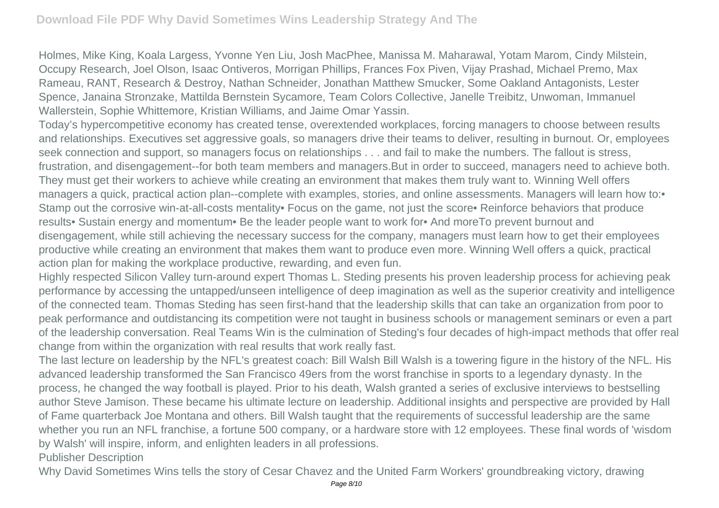Holmes, Mike King, Koala Largess, Yvonne Yen Liu, Josh MacPhee, Manissa M. Maharawal, Yotam Marom, Cindy Milstein, Occupy Research, Joel Olson, Isaac Ontiveros, Morrigan Phillips, Frances Fox Piven, Vijay Prashad, Michael Premo, Max Rameau, RANT, Research & Destroy, Nathan Schneider, Jonathan Matthew Smucker, Some Oakland Antagonists, Lester Spence, Janaina Stronzake, Mattilda Bernstein Sycamore, Team Colors Collective, Janelle Treibitz, Unwoman, Immanuel Wallerstein, Sophie Whittemore, Kristian Williams, and Jaime Omar Yassin.

Today's hypercompetitive economy has created tense, overextended workplaces, forcing managers to choose between results and relationships. Executives set aggressive goals, so managers drive their teams to deliver, resulting in burnout. Or, employees seek connection and support, so managers focus on relationships . . . and fail to make the numbers. The fallout is stress, frustration, and disengagement--for both team members and managers.But in order to succeed, managers need to achieve both. They must get their workers to achieve while creating an environment that makes them truly want to. Winning Well offers managers a quick, practical action plan--complete with examples, stories, and online assessments. Managers will learn how to:• Stamp out the corrosive win-at-all-costs mentality• Focus on the game, not just the score• Reinforce behaviors that produce results• Sustain energy and momentum• Be the leader people want to work for• And moreTo prevent burnout and disengagement, while still achieving the necessary success for the company, managers must learn how to get their employees productive while creating an environment that makes them want to produce even more. Winning Well offers a quick, practical action plan for making the workplace productive, rewarding, and even fun.

Highly respected Silicon Valley turn-around expert Thomas L. Steding presents his proven leadership process for achieving peak performance by accessing the untapped/unseen intelligence of deep imagination as well as the superior creativity and intelligence of the connected team. Thomas Steding has seen first-hand that the leadership skills that can take an organization from poor to peak performance and outdistancing its competition were not taught in business schools or management seminars or even a part of the leadership conversation. Real Teams Win is the culmination of Steding's four decades of high-impact methods that offer real change from within the organization with real results that work really fast.

The last lecture on leadership by the NFL's greatest coach: Bill Walsh Bill Walsh is a towering figure in the history of the NFL. His advanced leadership transformed the San Francisco 49ers from the worst franchise in sports to a legendary dynasty. In the process, he changed the way football is played. Prior to his death, Walsh granted a series of exclusive interviews to bestselling author Steve Jamison. These became his ultimate lecture on leadership. Additional insights and perspective are provided by Hall of Fame quarterback Joe Montana and others. Bill Walsh taught that the requirements of successful leadership are the same whether you run an NFL franchise, a fortune 500 company, or a hardware store with 12 employees. These final words of 'wisdom by Walsh' will inspire, inform, and enlighten leaders in all professions.

Publisher Description

Why David Sometimes Wins tells the story of Cesar Chavez and the United Farm Workers' groundbreaking victory, drawing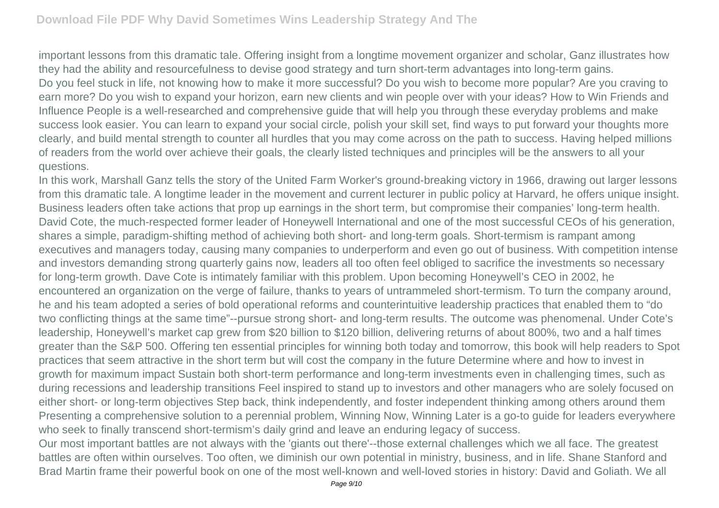important lessons from this dramatic tale. Offering insight from a longtime movement organizer and scholar, Ganz illustrates how they had the ability and resourcefulness to devise good strategy and turn short-term advantages into long-term gains. Do you feel stuck in life, not knowing how to make it more successful? Do you wish to become more popular? Are you craving to earn more? Do you wish to expand your horizon, earn new clients and win people over with your ideas? How to Win Friends and Influence People is a well-researched and comprehensive guide that will help you through these everyday problems and make success look easier. You can learn to expand your social circle, polish your skill set, find ways to put forward your thoughts more clearly, and build mental strength to counter all hurdles that you may come across on the path to success. Having helped millions of readers from the world over achieve their goals, the clearly listed techniques and principles will be the answers to all your questions.

In this work, Marshall Ganz tells the story of the United Farm Worker's ground-breaking victory in 1966, drawing out larger lessons from this dramatic tale. A longtime leader in the movement and current lecturer in public policy at Harvard, he offers unique insight. Business leaders often take actions that prop up earnings in the short term, but compromise their companies' long-term health. David Cote, the much-respected former leader of Honeywell International and one of the most successful CEOs of his generation, shares a simple, paradigm-shifting method of achieving both short- and long-term goals. Short-termism is rampant among executives and managers today, causing many companies to underperform and even go out of business. With competition intense and investors demanding strong quarterly gains now, leaders all too often feel obliged to sacrifice the investments so necessary for long-term growth. Dave Cote is intimately familiar with this problem. Upon becoming Honeywell's CEO in 2002, he encountered an organization on the verge of failure, thanks to years of untrammeled short-termism. To turn the company around, he and his team adopted a series of bold operational reforms and counterintuitive leadership practices that enabled them to "do two conflicting things at the same time"--pursue strong short- and long-term results. The outcome was phenomenal. Under Cote's leadership, Honeywell's market cap grew from \$20 billion to \$120 billion, delivering returns of about 800%, two and a half times greater than the S&P 500. Offering ten essential principles for winning both today and tomorrow, this book will help readers to Spot practices that seem attractive in the short term but will cost the company in the future Determine where and how to invest in growth for maximum impact Sustain both short-term performance and long-term investments even in challenging times, such as during recessions and leadership transitions Feel inspired to stand up to investors and other managers who are solely focused on either short- or long-term objectives Step back, think independently, and foster independent thinking among others around them Presenting a comprehensive solution to a perennial problem, Winning Now, Winning Later is a go-to guide for leaders everywhere who seek to finally transcend short-termism's daily grind and leave an enduring legacy of success.

Our most important battles are not always with the 'giants out there'--those external challenges which we all face. The greatest battles are often within ourselves. Too often, we diminish our own potential in ministry, business, and in life. Shane Stanford and Brad Martin frame their powerful book on one of the most well-known and well-loved stories in history: David and Goliath. We all